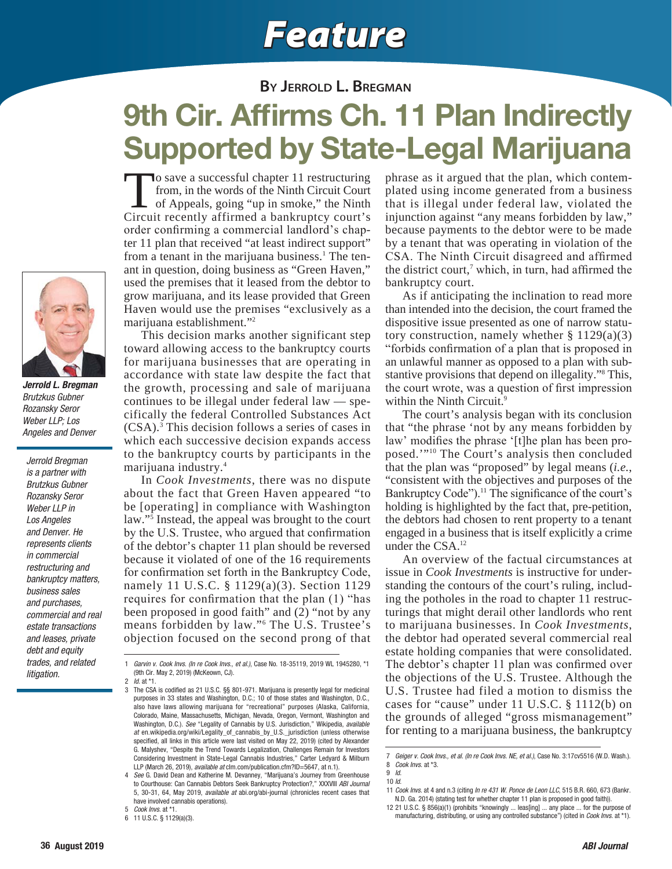## *Feature*

## **BY JERROLD L. BREGMAN**

## **9th Cir. Affirms Ch. 11 Plan Indirectly Supported by State-Legal Marijuana**

To save a successful chapter 11 restructuring from, in the words of the Ninth Circuit Court of Appeals, going "up in smoke," the Ninth Circuit recently affirmed a bankruptcy court's order confirming a commercial landlord's chapter 11 plan that received "at least indirect support" from a tenant in the marijuana business.<sup>1</sup> The tenant in question, doing business as "Green Haven," used the premises that it leased from the debtor to grow marijuana, and its lease provided that Green Haven would use the premises "exclusively as a marijuana establishment."2

 This decision marks another significant step toward allowing access to the bankruptcy courts for marijuana businesses that are operating in accordance with state law despite the fact that the growth, processing and sale of marijuana continues to be illegal under federal law — specifically the federal Controlled Substances Act (CSA).3 This decision follows a series of cases in which each successive decision expands access to the bankruptcy courts by participants in the marijuana industry.4

 In *Cook Investments*, there was no dispute about the fact that Green Haven appeared "to be [operating] in compliance with Washington law."5 Instead, the appeal was brought to the court by the U.S. Trustee, who argued that confirmation of the debtor's chapter 11 plan should be reversed because it violated of one of the 16 requirements for confirmation set forth in the Bankruptcy Code. namely 11 U.S.C. § 1129(a)(3). Section 1129 requires for confirmation that the plan  $(1)$  "has been proposed in good faith" and (2) "not by any means forbidden by law."<sup>6</sup> The U.S. Trustee's objection focused on the second prong of that

phrase as it argued that the plan, which contemplated using income generated from a business that is illegal under federal law, violated the injunction against "any means forbidden by law," because payments to the debtor were to be made by a tenant that was operating in violation of the CSA. The Ninth Circuit disagreed and affirmed the district court,<sup>7</sup> which, in turn, had affirmed the bankruptcy court.

 As if anticipating the inclination to read more than intended into the decision, the court framed the dispositive issue presented as one of narrow statutory construction, namely whether  $\S 1129(a)(3)$ "forbids confirmation of a plan that is proposed in an unlawful manner as opposed to a plan with substantive provisions that depend on illegality."8 This, the court wrote, was a question of first impression within the Ninth Circuit.<sup>9</sup>

 The court's analysis began with its conclusion that "the phrase 'not by any means forbidden by law' modifies the phrase '[t]he plan has been proposed.'"10 The Court's analysis then concluded that the plan was "proposed" by legal means (*i.e.*, "consistent with the objectives and purposes of the Bankruptcy Code").<sup>11</sup> The significance of the court's holding is highlighted by the fact that, pre-petition, the debtors had chosen to rent property to a tenant engaged in a business that is itself explicitly a crime under the CSA.12

 An overview of the factual circumstances at issue in *Cook Investments* is instructive for understanding the contours of the court's ruling, including the potholes in the road to chapter 11 restructurings that might derail other landlords who rent to marijuana businesses. In *Cook Investments*, the debtor had operated several commercial real estate holding companies that were consolidated. The debtor's chapter 11 plan was confirmed over the objections of the U.S. Trustee. Although the U.S. Trustee had filed a motion to dismiss the cases for "cause" under 11 U.S.C. § 1112 (b) on the grounds of alleged "gross mismanagement" for renting to a marijuana business, the bankruptcy



*Jerrold L. Bregman* Brutzkus Gubner Rozansky Seror Weber LLP; Los Angeles and Denver

Jerrold Bregman is a partner with Brutzkus Gubner Rozansky Seror Weber LLP in Los Angeles and Denver. He represents clients in commercial restructuring and bankruptcy matters, business sales and purchases, commercial and real estate transactions and leases, private debt and equity trades, and related litigation.

<sup>1</sup> Garvin v. Cook Invs. (In re Cook Invs., et al.), Case No. 18-35119, 2019 WL 1945280, \*1 (9th Cir. May 2, 2019) (McKeown, CJ).

<sup>2</sup>  $id.$  at  $*1$ .<br>3 The CSA The CSA is codified as 21 U.S.C. §§ 801-971. Marijuana is presently legal for medicinal purposes in 33 states and Washington, D.C.; 10 of those states and Washington, D.C., also have laws allowing marijuana for "recreational" purposes (Alaska, California, Colorado, Maine, Massachusetts, Michigan, Nevada, Oregon, Vermont, Washington and Washington, D.C.). See "Legality of Cannabis by U.S. Jurisdiction," Wikipedia, available at en.wikipedia.org/wiki/Legality\_of\_cannabis\_by\_U.S.\_jurisdiction (unless otherwise specified, all links in this article were last visited on May 22, 2019) (cited by Alexander G. Malyshev, "Despite the Trend Towards Legalization, Challenges Remain for Investors Considering Investment in State-Legal Cannabis Industries," Carter Ledyard & Milburn LLP (March 26, 2019), available at clm.com/publication.cfm?ID=5647, at n.1).

<sup>4</sup> See G. David Dean and Katherine M. Devanney, "Marijuana's Journey from Greenhouse to Courthouse: Can Cannabis Debtors Seek Bankruptcy Protection?," XXXVIII ABI Journal 5, 30-31, 64, May 2019, available at abi.org/abi-journal (chronicles recent cases that have involved cannabis operations).

<sup>5</sup> Cook Invs. at \*1.

<sup>6 11</sup> U.S.C. § 1129(a)(3).

<sup>7</sup> Geiger v. Cook Invs., et al. (In re Cook Invs. NE, et al.), Case No. 3:17cv5516 (W.D. Wash.). 8 Cook Invs. at \*3.

<sup>9</sup> Id. 10 Id.

<sup>11</sup> Cook Invs. at 4 and n.3 (citing In re 431 W. Ponce de Leon LLC, 515 B.R. 660, 673 (Bankr. N.D. Ga. 2014) (stating test for whether chapter 11 plan is proposed in good faith)).

<sup>12 21</sup> U.S.C. § 856(a)(1) (prohibits "knowingly ... leas[ing] ... any place ... for the purpose of manufacturing, distributing, or using any controlled substance") (cited in *Cook Invs.* at \*1).